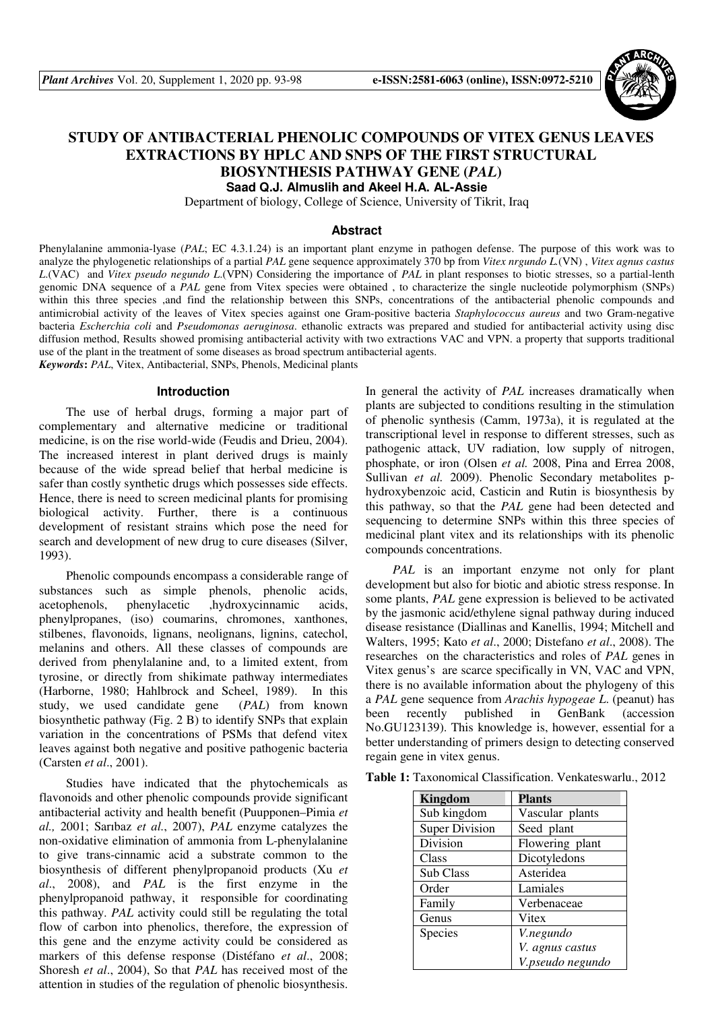

# **STUDY OF ANTIBACTERIAL PHENOLIC COMPOUNDS OF VITEX GENUS LEAVES EXTRACTIONS BY HPLC AND SNPS OF THE FIRST STRUCTURAL BIOSYNTHESIS PATHWAY GENE (***PAL***) Saad Q.J. Almuslih and Akeel H.A. AL-Assie**

Department of biology, College of Science, University of Tikrit, Iraq

### **Abstract**

Phenylalanine ammonia-lyase (*PAL*; EC 4.3.1.24) is an important plant enzyme in pathogen defense. The purpose of this work was to analyze the phylogenetic relationships of a partial *PAL* gene sequence approximately 370 bp from *Vitex nrgundo L.*(VN) , *Vitex agnus castus L*.(VAC) and *Vitex pseudo negundo L*.(VPN) Considering the importance of *PAL* in plant responses to biotic stresses, so a partial-lenth genomic DNA sequence of a *PAL* gene from Vitex species were obtained , to characterize the single nucleotide polymorphism (SNPs) within this three species ,and find the relationship between this SNPs, concentrations of the antibacterial phenolic compounds and antimicrobial activity of the leaves of Vitex species against one Gram-positive bacteria *Staphylococcus aureus* and two Gram-negative bacteria *Escherchia coli* and *Pseudomonas aeruginosa*. ethanolic extracts was prepared and studied for antibacterial activity using disc diffusion method, Results showed promising antibacterial activity with two extractions VAC and VPN. a property that supports traditional use of the plant in the treatment of some diseases as broad spectrum antibacterial agents. *Keywords***:** *PAL*, Vitex, Antibacterial, SNPs, Phenols, Medicinal plants

**Introduction**

The use of herbal drugs, forming a major part of complementary and alternative medicine or traditional medicine, is on the rise world-wide (Feudis and Drieu, 2004). The increased interest in plant derived drugs is mainly because of the wide spread belief that herbal medicine is safer than costly synthetic drugs which possesses side effects. Hence, there is need to screen medicinal plants for promising biological activity. Further, there is a continuous development of resistant strains which pose the need for search and development of new drug to cure diseases (Silver, 1993).

Phenolic compounds encompass a considerable range of substances such as simple phenols, phenolic acids, acetophenols, phenylacetic ,hydroxycinnamic acids, phenylpropanes, (iso) coumarins, chromones, xanthones, stilbenes, flavonoids, lignans, neolignans, lignins, catechol, melanins and others. All these classes of compounds are derived from phenylalanine and, to a limited extent, from tyrosine, or directly from shikimate pathway intermediates (Harborne, 1980; Hahlbrock and Scheel, 1989). In this study, we used candidate gene (*PAL*) from known biosynthetic pathway (Fig. 2 B) to identify SNPs that explain variation in the concentrations of PSMs that defend vitex leaves against both negative and positive pathogenic bacteria (Carsten *et al*., 2001).

Studies have indicated that the phytochemicals as flavonoids and other phenolic compounds provide significant antibacterial activity and health benefit (Puupponen–Pimia *et al.,* 2001; Sarıbaz *et al.*, 2007), *PAL* enzyme catalyzes the non-oxidative elimination of ammonia from L-phenylalanine to give trans-cinnamic acid a substrate common to the biosynthesis of different phenylpropanoid products (Xu *et al*., 2008), and *PAL* is the first enzyme in the phenylpropanoid pathway, it responsible for coordinating this pathway. *PAL* activity could still be regulating the total flow of carbon into phenolics, therefore, the expression of this gene and the enzyme activity could be considered as markers of this defense response (Distéfano *et al*., 2008; Shoresh *et al*., 2004), So that *PAL* has received most of the attention in studies of the regulation of phenolic biosynthesis.

In general the activity of *PAL* increases dramatically when plants are subjected to conditions resulting in the stimulation of phenolic synthesis (Camm, 1973a), it is regulated at the transcriptional level in response to different stresses, such as pathogenic attack, UV radiation, low supply of nitrogen, phosphate, or iron (Olsen *et al.* 2008, Pina and Errea 2008, Sullivan *et al.* 2009). Phenolic Secondary metabolites phydroxybenzoic acid, Casticin and Rutin is biosynthesis by this pathway, so that the *PAL* gene had been detected and sequencing to determine SNPs within this three species of medicinal plant vitex and its relationships with its phenolic compounds concentrations.

*PAL* is an important enzyme not only for plant development but also for biotic and abiotic stress response. In some plants, *PAL* gene expression is believed to be activated by the jasmonic acid/ethylene signal pathway during induced disease resistance (Diallinas and Kanellis, 1994; Mitchell and Walters, 1995; Kato *et al*., 2000; Distefano *et al*., 2008). The researches on the characteristics and roles of *PAL* genes in Vitex genus's are scarce specifically in VN, VAC and VPN, there is no available information about the phylogeny of this a *PAL* gene sequence from *Arachis hypogeae L*. (peanut) has been recently published in GenBank (accession No.GU123139). This knowledge is, however, essential for a better understanding of primers design to detecting conserved regain gene in vitex genus.

**Table 1:** Taxonomical Classification. Venkateswarlu., 2012

| Kingdom               | <b>Plants</b>    |
|-----------------------|------------------|
| Sub kingdom           | Vascular plants  |
| <b>Super Division</b> | Seed plant       |
| Division              | Flowering plant  |
| Class                 | Dicotyledons     |
| Sub Class             | Asteridea        |
| Order                 | Lamiales         |
| Family                | Verbenaceae      |
| Genus                 | Vitex            |
| Species               | V.negundo        |
|                       | V. agnus castus  |
|                       | V.pseudo negundo |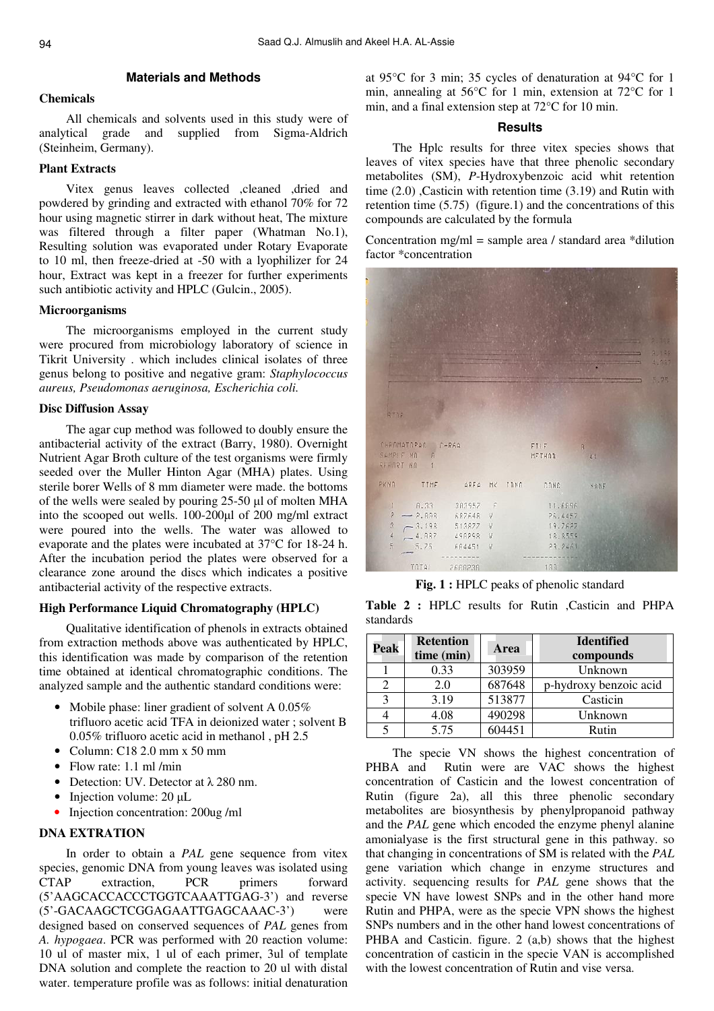# **Materials and Methods**

# **Chemicals**

All chemicals and solvents used in this study were of analytical grade and supplied from Sigma-Aldrich (Steinheim, Germany).

# **Plant Extracts**

Vitex genus leaves collected ,cleaned ,dried and powdered by grinding and extracted with ethanol 70% for 72 hour using magnetic stirrer in dark without heat, The mixture was filtered through a filter paper (Whatman No.1), Resulting solution was evaporated under Rotary Evaporate to 10 ml, then freeze-dried at -50 with a lyophilizer for 24 hour, Extract was kept in a freezer for further experiments such antibiotic activity and HPLC (Gulcin., 2005).

# **Microorganisms**

The microorganisms employed in the current study were procured from microbiology laboratory of science in Tikrit University . which includes clinical isolates of three genus belong to positive and negative gram: *Staphylococcus aureus, Pseudomonas aeruginosa, Escherichia coli.*

### **Disc Diffusion Assay**

The agar cup method was followed to doubly ensure the antibacterial activity of the extract (Barry, 1980). Overnight Nutrient Agar Broth culture of the test organisms were firmly seeded over the Muller Hinton Agar (MHA) plates. Using sterile borer Wells of 8 mm diameter were made. the bottoms of the wells were sealed by pouring 25-50 µl of molten MHA into the scooped out wells. 100-200µl of 200 mg/ml extract were poured into the wells. The water was allowed to evaporate and the plates were incubated at 37°C for 18-24 h. After the incubation period the plates were observed for a clearance zone around the discs which indicates a positive antibacterial activity of the respective extracts.

## **High Performance Liquid Chromatography (HPLC)**

Qualitative identification of phenols in extracts obtained from extraction methods above was authenticated by HPLC, this identification was made by comparison of the retention time obtained at identical chromatographic conditions. The analyzed sample and the authentic standard conditions were:

- Mobile phase: liner gradient of solvent A 0.05% trifluoro acetic acid TFA in deionized water ; solvent B 0.05% trifluoro acetic acid in methanol , pH 2.5
- Column:  $C182.0$  mm x 50 mm
- Flow rate: 1.1 ml /min
- Detection: UV. Detector at λ 280 nm.
- Injection volume: 20 µL
- Injection concentration: 200ug /ml

### **DNA EXTRATION**

In order to obtain a *PAL* gene sequence from vitex species, genomic DNA from young leaves was isolated using CTAP extraction, PCR primers forward (5'AAGCACCACCCTGGTCAAATTGAG-3') and reverse (5'-GACAAGCTCGGAGAATTGAGCAAAC-3') were designed based on conserved sequences of *PAL* genes from *A. hypogaea*. PCR was performed with 20 reaction volume: 10 ul of master mix, 1 ul of each primer, 3ul of template DNA solution and complete the reaction to 20 ul with distal water. temperature profile was as follows: initial denaturation

at 95°C for 3 min; 35 cycles of denaturation at 94°C for 1 min, annealing at 56°C for 1 min, extension at 72°C for 1 min, and a final extension step at 72°C for 10 min.

## **Results**

The Hplc results for three vitex species shows that leaves of vitex species have that three phenolic secondary metabolites (SM), *P*-Hydroxybenzoic acid whit retention time (2.0) ,Casticin with retention time (3.19) and Rutin with retention time (5.75) (figure.1) and the concentrations of this compounds are calculated by the formula

Concentration mg/ml = sample area / standard area  $*$ dilution factor \*concentration



**Fig. 1 :** HPLC peaks of phenolic standard

**Table 2 :** HPLC results for Rutin ,Casticin and PHPA standards

| Peak | <b>Retention</b><br>time (min) | Area   | <b>Identified</b><br>compounds |
|------|--------------------------------|--------|--------------------------------|
|      | 0.33                           | 303959 | Unknown                        |
| っ    | 2.0                            | 687648 | p-hydroxy benzoic acid         |
| 3    | 3.19                           | 513877 | Casticin                       |
|      | 4.08                           | 490298 | Unknown                        |
|      | 5.75                           | 604451 | Rutin                          |

The specie VN shows the highest concentration of PHBA and Rutin were are VAC shows the highest concentration of Casticin and the lowest concentration of Rutin (figure 2a), all this three phenolic secondary metabolites are biosynthesis by phenylpropanoid pathway and the *PAL* gene which encoded the enzyme phenyl alanine amonialyase is the first structural gene in this pathway. so that changing in concentrations of SM is related with the *PAL* gene variation which change in enzyme structures and activity. sequencing results for *PAL* gene shows that the specie VN have lowest SNPs and in the other hand more Rutin and PHPA, were as the specie VPN shows the highest SNPs numbers and in the other hand lowest concentrations of PHBA and Casticin. figure. 2 (a,b) shows that the highest concentration of casticin in the specie VAN is accomplished with the lowest concentration of Rutin and vise versa.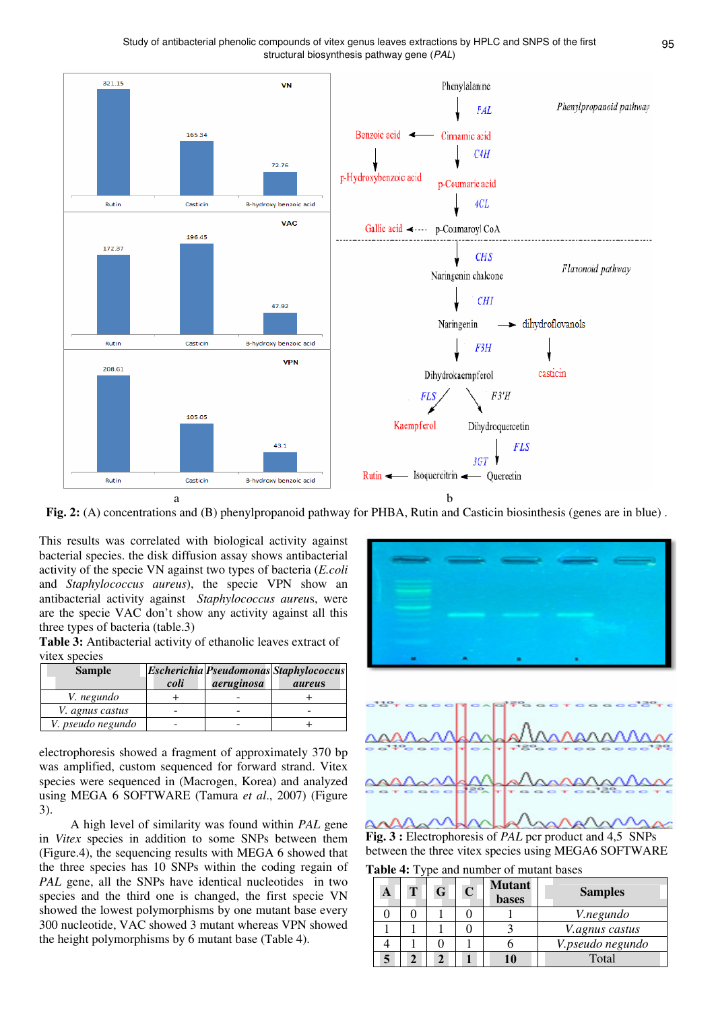

**Fig. 2:** (A) concentrations and (B) phenylpropanoid pathway for PHBA, Rutin and Casticin biosinthesis (genes are in blue) .

This results was correlated with biological activity against bacterial species. the disk diffusion assay shows antibacterial activity of the specie VN against two types of bacteria (*E.coli* and *Staphylococcus aureus*), the specie VPN show an antibacterial activity against *Staphylococcus aureu*s, were are the specie VAC don't show any activity against all this three types of bacteria (table.3)

**Table 3:** Antibacterial activity of ethanolic leaves extract of vitex species

| <b>Sample</b>     |      |            | <b>Escherichia Pseudomonas Staphylococcus</b> |
|-------------------|------|------------|-----------------------------------------------|
|                   | coli | aeruginosa | <i>aureus</i>                                 |
| V. negundo        |      |            |                                               |
| V. agnus castus   |      |            |                                               |
| V. pseudo negundo |      |            |                                               |

electrophoresis showed a fragment of approximately 370 bp was amplified, custom sequenced for forward strand. Vitex species were sequenced in (Macrogen, Korea) and analyzed using MEGA 6 SOFTWARE (Tamura *et al*., 2007) (Figure 3).

 A high level of similarity was found within *PAL* gene in *Vitex* species in addition to some SNPs between them (Figure.4), the sequencing results with MEGA 6 showed that the three species has 10 SNPs within the coding regain of *PAL* gene, all the SNPs have identical nucleotides in two species and the third one is changed, the first specie VN showed the lowest polymorphisms by one mutant base every 300 nucleotide, VAC showed 3 mutant whereas VPN showed the height polymorphisms by 6 mutant base (Table 4).



**Fig. 3 :** Electrophoresis of *PAL* pcr product and 4,5 SNPs between the three vitex species using MEGA6 SOFTWARE

**Table 4:** Type and number of mutant bases

| A | G | $\mathbf C$ | <b>Mutant</b><br><b>bases</b> | <b>Samples</b>        |
|---|---|-------------|-------------------------------|-----------------------|
|   |   |             |                               | <i>V.negundo</i>      |
|   |   |             |                               | <i>V.agnus castus</i> |
|   |   |             |                               | V.pseudo negundo      |
|   |   |             |                               | Total                 |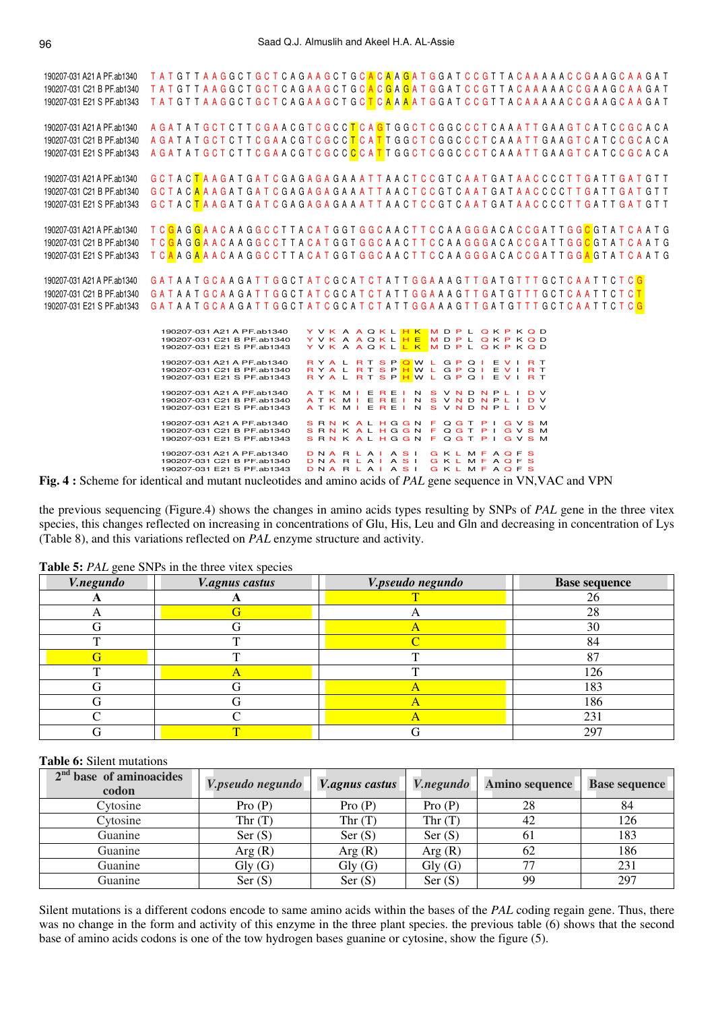| T A T G T T A A G G C T G C T C A G A A G C T G C <mark>A C G</mark> A T G G A T C C G T T A C A A A A A C C G A A G C A A G A T<br>T A T G T T A A G G C T G C T C A G A A G C T G C T C A A A A T G G A T C C G T T A C A A A A A C C G A A G C A A G A T<br>190207-031 E21 S PF.ab1343<br>A GATAT G C T C T T C G A A C G T C G C C <mark>T</mark> C A <mark>G</mark> T G G C T C G G C C C T C A A A T T G A A G T C A T C C G C A C A<br>190207-031 A21 A PF.ab1340<br><u>A G A T A T G C T C T T C G A A C G T C G C C <mark>T</mark> C A T T G G C T C G G C C C T C A A A T T G A A G T C A T C C G C A C A</u><br>190207-031 C21 B PF.ab1340<br>A GATAT G C T C T T C G A A C G T C G C C <mark>C</mark> C A <mark>T</mark> T G G C T C G G C C C T C A A A T T G A A G T C A T C C G C A C A<br>190207-031 E21 S PF.ab1343<br>G C T A C <mark>T</mark> A A G A T G A T C G A G A G A A A T T A A C T C C G T C A A T G A T A A C C C C T T G A T G A T G T T<br>G C T A C <mark>A</mark> A A G A T G A T C G A G A G A A A A T T A A C T C C G T C A A T G A T A A C C C C T T G A T T G A T G T T<br>G C T A C <mark>T</mark> A A G A T G A T C G A G A G A G A A T T A A C T C C G T C A A T G A T A A C C C C T T G A T T G A T G T T<br>190207-031 E21 S PF.ab1343<br>T C <mark>G</mark> A G <mark>G</mark> A A C A A G G C C T T A C A T G G T G G C A A C T T C C A A G G G A C A C C G A T T G G <mark>C</mark> G T A T C A A T G<br>190207-031 A21 A PF.ab1340<br>T C <mark>G</mark> A G <mark>G</mark> A A C A A G G C C T T A C A T G G T G G C A A C T T C C A A G G G A C A C C G A T T G G <mark>C</mark> G T A T C A A T G<br>190207-031 C21 B PF.ab1340<br>T C <mark>A</mark> A G <mark>A</mark> A A C A A G G C C T T A C A T G G T G G C A A C T T C C A A G G G A C A C C G A T T G G <mark>A</mark> G T A T C A A T G<br>190207-031 E21 S PF.ab1343<br>GATAAT GCAAGATT GGCT AT C GCAT C T A T T G G A A A G T T G A T G T T T G C T C A A T T C T C G<br>GATAAT GCAA GATT GGCT AT C GC AT CT ATT G GAA A GTT GAT GTTT GCT C A ATT C T C T<br>GATAAT GCAA GATT GGCT AT C GCAT CT ATT GGAA A GTT GAT GTTT GCT CAATT C T C G<br>190207-031 E21 S PF.ab1343<br>Y V K A A Q K L <mark>H K M D P L Q K P K Q</mark> D<br>190207-031 A21 A PF.ab1340<br>YVK A AQKL <mark>H E MDPL QKPKQD</mark><br>190207-031 C21 B PF.ab1340<br>190207-031 E21 S PF.ab1343<br>YVK A AQKL <mark>L K </mark> M D P L Q K P K Q D<br>RYAL RT SPOWL GPQIEVIRT<br>190207-031 A21 A PF.ab1340<br>RYAL RT SPHWL GPQI EVIRT<br>190207-031 C21 B PF.ab1340<br>RYAL RT SPHWL GPQI EVIRT<br>190207-031 E21 S PF.ab1343<br>ATK MIEREIN SVND NPLIDV<br>190207-031 A21 A PF.ab1340<br>190207-031 C21 B PF.ab1340<br>ATK MIEREINS VND NPLIDV<br>ATK MIEREINS VND NPLIDV<br>190207-031 E21 S PF.ab1343<br>190207-031 A21 A PF.ab1340<br>SRNK ALHGGN FQGT PIGVSM<br>SRNK ALHGGN FQGT PIGVSM<br>190207-031 C21 B PF.ab1340<br>SRN KALHGGN FQGT PIGVSM<br>190207-031 E21 S PF.ab1343<br>190207-031 A21 A PF.ab1340<br>DNARLAIASI GKLMFAQFS<br>DNARLAIASI GKLMFAQFS<br>190207-031 C21 B PF.ab1340<br>190207-031 E21 S PF.ab1343<br>DNARLAIASI GKLMFAQFS<br>$A \cup C$ if $C$ if $C$ if $C$ if $C$ if $C$ if $C$ if $C$ $DAT$ if $T$ if $C$ if $T$ if $T$ if $T$ if $T$ if $T$ if $T$ if $T$ if $T$ if $T$ if $T$ if $T$ if $T$ if $T$ if $T$ if $T$ if $T$ if $T$ if $T$ if $T$ if $T$ if $T$ | 190207-031 A21 A PF.ab1340 | T A T G T T A A G G C T G C T C A G A A G C T G C <mark>A</mark> C <mark>A A G</mark> A T G G A T C C G T T A C A A A A A C C G A A G C A A G A T |  |
|----------------------------------------------------------------------------------------------------------------------------------------------------------------------------------------------------------------------------------------------------------------------------------------------------------------------------------------------------------------------------------------------------------------------------------------------------------------------------------------------------------------------------------------------------------------------------------------------------------------------------------------------------------------------------------------------------------------------------------------------------------------------------------------------------------------------------------------------------------------------------------------------------------------------------------------------------------------------------------------------------------------------------------------------------------------------------------------------------------------------------------------------------------------------------------------------------------------------------------------------------------------------------------------------------------------------------------------------------------------------------------------------------------------------------------------------------------------------------------------------------------------------------------------------------------------------------------------------------------------------------------------------------------------------------------------------------------------------------------------------------------------------------------------------------------------------------------------------------------------------------------------------------------------------------------------------------------------------------------------------------------------------------------------------------------------------------------------------------------------------------------------------------------------------------------------------------------------------------------------------------------------------------------------------------------------------------------------------------------------------------------------------------------------------------------------------------------------------------------------------------------------------------------------------------------------------------------------------------------------------------------------------------------------------------------------------------------------------------------------------------------------------------------------------------------------------------------------------------------------------------------------------------------------------------------------------------------------------------------------------------------------------------------------------------------------------------------------------------------------------------------------------------------------------------------------------------------------------------------------------------------------------------------------------------------------------------------------------------------------------------------|----------------------------|---------------------------------------------------------------------------------------------------------------------------------------------------|--|
|                                                                                                                                                                                                                                                                                                                                                                                                                                                                                                                                                                                                                                                                                                                                                                                                                                                                                                                                                                                                                                                                                                                                                                                                                                                                                                                                                                                                                                                                                                                                                                                                                                                                                                                                                                                                                                                                                                                                                                                                                                                                                                                                                                                                                                                                                                                                                                                                                                                                                                                                                                                                                                                                                                                                                                                                                                                                                                                                                                                                                                                                                                                                                                                                                                                                                                                                                                                  | 190207-031 C21 B PF.ab1340 |                                                                                                                                                   |  |
|                                                                                                                                                                                                                                                                                                                                                                                                                                                                                                                                                                                                                                                                                                                                                                                                                                                                                                                                                                                                                                                                                                                                                                                                                                                                                                                                                                                                                                                                                                                                                                                                                                                                                                                                                                                                                                                                                                                                                                                                                                                                                                                                                                                                                                                                                                                                                                                                                                                                                                                                                                                                                                                                                                                                                                                                                                                                                                                                                                                                                                                                                                                                                                                                                                                                                                                                                                                  |                            |                                                                                                                                                   |  |
|                                                                                                                                                                                                                                                                                                                                                                                                                                                                                                                                                                                                                                                                                                                                                                                                                                                                                                                                                                                                                                                                                                                                                                                                                                                                                                                                                                                                                                                                                                                                                                                                                                                                                                                                                                                                                                                                                                                                                                                                                                                                                                                                                                                                                                                                                                                                                                                                                                                                                                                                                                                                                                                                                                                                                                                                                                                                                                                                                                                                                                                                                                                                                                                                                                                                                                                                                                                  |                            |                                                                                                                                                   |  |
|                                                                                                                                                                                                                                                                                                                                                                                                                                                                                                                                                                                                                                                                                                                                                                                                                                                                                                                                                                                                                                                                                                                                                                                                                                                                                                                                                                                                                                                                                                                                                                                                                                                                                                                                                                                                                                                                                                                                                                                                                                                                                                                                                                                                                                                                                                                                                                                                                                                                                                                                                                                                                                                                                                                                                                                                                                                                                                                                                                                                                                                                                                                                                                                                                                                                                                                                                                                  |                            |                                                                                                                                                   |  |
|                                                                                                                                                                                                                                                                                                                                                                                                                                                                                                                                                                                                                                                                                                                                                                                                                                                                                                                                                                                                                                                                                                                                                                                                                                                                                                                                                                                                                                                                                                                                                                                                                                                                                                                                                                                                                                                                                                                                                                                                                                                                                                                                                                                                                                                                                                                                                                                                                                                                                                                                                                                                                                                                                                                                                                                                                                                                                                                                                                                                                                                                                                                                                                                                                                                                                                                                                                                  |                            |                                                                                                                                                   |  |
|                                                                                                                                                                                                                                                                                                                                                                                                                                                                                                                                                                                                                                                                                                                                                                                                                                                                                                                                                                                                                                                                                                                                                                                                                                                                                                                                                                                                                                                                                                                                                                                                                                                                                                                                                                                                                                                                                                                                                                                                                                                                                                                                                                                                                                                                                                                                                                                                                                                                                                                                                                                                                                                                                                                                                                                                                                                                                                                                                                                                                                                                                                                                                                                                                                                                                                                                                                                  |                            |                                                                                                                                                   |  |
|                                                                                                                                                                                                                                                                                                                                                                                                                                                                                                                                                                                                                                                                                                                                                                                                                                                                                                                                                                                                                                                                                                                                                                                                                                                                                                                                                                                                                                                                                                                                                                                                                                                                                                                                                                                                                                                                                                                                                                                                                                                                                                                                                                                                                                                                                                                                                                                                                                                                                                                                                                                                                                                                                                                                                                                                                                                                                                                                                                                                                                                                                                                                                                                                                                                                                                                                                                                  |                            |                                                                                                                                                   |  |
|                                                                                                                                                                                                                                                                                                                                                                                                                                                                                                                                                                                                                                                                                                                                                                                                                                                                                                                                                                                                                                                                                                                                                                                                                                                                                                                                                                                                                                                                                                                                                                                                                                                                                                                                                                                                                                                                                                                                                                                                                                                                                                                                                                                                                                                                                                                                                                                                                                                                                                                                                                                                                                                                                                                                                                                                                                                                                                                                                                                                                                                                                                                                                                                                                                                                                                                                                                                  |                            |                                                                                                                                                   |  |
|                                                                                                                                                                                                                                                                                                                                                                                                                                                                                                                                                                                                                                                                                                                                                                                                                                                                                                                                                                                                                                                                                                                                                                                                                                                                                                                                                                                                                                                                                                                                                                                                                                                                                                                                                                                                                                                                                                                                                                                                                                                                                                                                                                                                                                                                                                                                                                                                                                                                                                                                                                                                                                                                                                                                                                                                                                                                                                                                                                                                                                                                                                                                                                                                                                                                                                                                                                                  | 190207-031 A21 A PF.ab1340 |                                                                                                                                                   |  |
|                                                                                                                                                                                                                                                                                                                                                                                                                                                                                                                                                                                                                                                                                                                                                                                                                                                                                                                                                                                                                                                                                                                                                                                                                                                                                                                                                                                                                                                                                                                                                                                                                                                                                                                                                                                                                                                                                                                                                                                                                                                                                                                                                                                                                                                                                                                                                                                                                                                                                                                                                                                                                                                                                                                                                                                                                                                                                                                                                                                                                                                                                                                                                                                                                                                                                                                                                                                  | 190207-031 C21 B PF.ab1340 |                                                                                                                                                   |  |
|                                                                                                                                                                                                                                                                                                                                                                                                                                                                                                                                                                                                                                                                                                                                                                                                                                                                                                                                                                                                                                                                                                                                                                                                                                                                                                                                                                                                                                                                                                                                                                                                                                                                                                                                                                                                                                                                                                                                                                                                                                                                                                                                                                                                                                                                                                                                                                                                                                                                                                                                                                                                                                                                                                                                                                                                                                                                                                                                                                                                                                                                                                                                                                                                                                                                                                                                                                                  |                            |                                                                                                                                                   |  |
|                                                                                                                                                                                                                                                                                                                                                                                                                                                                                                                                                                                                                                                                                                                                                                                                                                                                                                                                                                                                                                                                                                                                                                                                                                                                                                                                                                                                                                                                                                                                                                                                                                                                                                                                                                                                                                                                                                                                                                                                                                                                                                                                                                                                                                                                                                                                                                                                                                                                                                                                                                                                                                                                                                                                                                                                                                                                                                                                                                                                                                                                                                                                                                                                                                                                                                                                                                                  |                            |                                                                                                                                                   |  |
|                                                                                                                                                                                                                                                                                                                                                                                                                                                                                                                                                                                                                                                                                                                                                                                                                                                                                                                                                                                                                                                                                                                                                                                                                                                                                                                                                                                                                                                                                                                                                                                                                                                                                                                                                                                                                                                                                                                                                                                                                                                                                                                                                                                                                                                                                                                                                                                                                                                                                                                                                                                                                                                                                                                                                                                                                                                                                                                                                                                                                                                                                                                                                                                                                                                                                                                                                                                  |                            |                                                                                                                                                   |  |
|                                                                                                                                                                                                                                                                                                                                                                                                                                                                                                                                                                                                                                                                                                                                                                                                                                                                                                                                                                                                                                                                                                                                                                                                                                                                                                                                                                                                                                                                                                                                                                                                                                                                                                                                                                                                                                                                                                                                                                                                                                                                                                                                                                                                                                                                                                                                                                                                                                                                                                                                                                                                                                                                                                                                                                                                                                                                                                                                                                                                                                                                                                                                                                                                                                                                                                                                                                                  |                            |                                                                                                                                                   |  |
|                                                                                                                                                                                                                                                                                                                                                                                                                                                                                                                                                                                                                                                                                                                                                                                                                                                                                                                                                                                                                                                                                                                                                                                                                                                                                                                                                                                                                                                                                                                                                                                                                                                                                                                                                                                                                                                                                                                                                                                                                                                                                                                                                                                                                                                                                                                                                                                                                                                                                                                                                                                                                                                                                                                                                                                                                                                                                                                                                                                                                                                                                                                                                                                                                                                                                                                                                                                  |                            |                                                                                                                                                   |  |
|                                                                                                                                                                                                                                                                                                                                                                                                                                                                                                                                                                                                                                                                                                                                                                                                                                                                                                                                                                                                                                                                                                                                                                                                                                                                                                                                                                                                                                                                                                                                                                                                                                                                                                                                                                                                                                                                                                                                                                                                                                                                                                                                                                                                                                                                                                                                                                                                                                                                                                                                                                                                                                                                                                                                                                                                                                                                                                                                                                                                                                                                                                                                                                                                                                                                                                                                                                                  |                            |                                                                                                                                                   |  |
|                                                                                                                                                                                                                                                                                                                                                                                                                                                                                                                                                                                                                                                                                                                                                                                                                                                                                                                                                                                                                                                                                                                                                                                                                                                                                                                                                                                                                                                                                                                                                                                                                                                                                                                                                                                                                                                                                                                                                                                                                                                                                                                                                                                                                                                                                                                                                                                                                                                                                                                                                                                                                                                                                                                                                                                                                                                                                                                                                                                                                                                                                                                                                                                                                                                                                                                                                                                  |                            |                                                                                                                                                   |  |
|                                                                                                                                                                                                                                                                                                                                                                                                                                                                                                                                                                                                                                                                                                                                                                                                                                                                                                                                                                                                                                                                                                                                                                                                                                                                                                                                                                                                                                                                                                                                                                                                                                                                                                                                                                                                                                                                                                                                                                                                                                                                                                                                                                                                                                                                                                                                                                                                                                                                                                                                                                                                                                                                                                                                                                                                                                                                                                                                                                                                                                                                                                                                                                                                                                                                                                                                                                                  | 190207-031 A21 A PF.ab1340 |                                                                                                                                                   |  |
|                                                                                                                                                                                                                                                                                                                                                                                                                                                                                                                                                                                                                                                                                                                                                                                                                                                                                                                                                                                                                                                                                                                                                                                                                                                                                                                                                                                                                                                                                                                                                                                                                                                                                                                                                                                                                                                                                                                                                                                                                                                                                                                                                                                                                                                                                                                                                                                                                                                                                                                                                                                                                                                                                                                                                                                                                                                                                                                                                                                                                                                                                                                                                                                                                                                                                                                                                                                  | 190207-031 C21 B PF.ab1340 |                                                                                                                                                   |  |
|                                                                                                                                                                                                                                                                                                                                                                                                                                                                                                                                                                                                                                                                                                                                                                                                                                                                                                                                                                                                                                                                                                                                                                                                                                                                                                                                                                                                                                                                                                                                                                                                                                                                                                                                                                                                                                                                                                                                                                                                                                                                                                                                                                                                                                                                                                                                                                                                                                                                                                                                                                                                                                                                                                                                                                                                                                                                                                                                                                                                                                                                                                                                                                                                                                                                                                                                                                                  |                            |                                                                                                                                                   |  |
|                                                                                                                                                                                                                                                                                                                                                                                                                                                                                                                                                                                                                                                                                                                                                                                                                                                                                                                                                                                                                                                                                                                                                                                                                                                                                                                                                                                                                                                                                                                                                                                                                                                                                                                                                                                                                                                                                                                                                                                                                                                                                                                                                                                                                                                                                                                                                                                                                                                                                                                                                                                                                                                                                                                                                                                                                                                                                                                                                                                                                                                                                                                                                                                                                                                                                                                                                                                  |                            |                                                                                                                                                   |  |
|                                                                                                                                                                                                                                                                                                                                                                                                                                                                                                                                                                                                                                                                                                                                                                                                                                                                                                                                                                                                                                                                                                                                                                                                                                                                                                                                                                                                                                                                                                                                                                                                                                                                                                                                                                                                                                                                                                                                                                                                                                                                                                                                                                                                                                                                                                                                                                                                                                                                                                                                                                                                                                                                                                                                                                                                                                                                                                                                                                                                                                                                                                                                                                                                                                                                                                                                                                                  |                            |                                                                                                                                                   |  |
|                                                                                                                                                                                                                                                                                                                                                                                                                                                                                                                                                                                                                                                                                                                                                                                                                                                                                                                                                                                                                                                                                                                                                                                                                                                                                                                                                                                                                                                                                                                                                                                                                                                                                                                                                                                                                                                                                                                                                                                                                                                                                                                                                                                                                                                                                                                                                                                                                                                                                                                                                                                                                                                                                                                                                                                                                                                                                                                                                                                                                                                                                                                                                                                                                                                                                                                                                                                  |                            |                                                                                                                                                   |  |
|                                                                                                                                                                                                                                                                                                                                                                                                                                                                                                                                                                                                                                                                                                                                                                                                                                                                                                                                                                                                                                                                                                                                                                                                                                                                                                                                                                                                                                                                                                                                                                                                                                                                                                                                                                                                                                                                                                                                                                                                                                                                                                                                                                                                                                                                                                                                                                                                                                                                                                                                                                                                                                                                                                                                                                                                                                                                                                                                                                                                                                                                                                                                                                                                                                                                                                                                                                                  |                            |                                                                                                                                                   |  |
|                                                                                                                                                                                                                                                                                                                                                                                                                                                                                                                                                                                                                                                                                                                                                                                                                                                                                                                                                                                                                                                                                                                                                                                                                                                                                                                                                                                                                                                                                                                                                                                                                                                                                                                                                                                                                                                                                                                                                                                                                                                                                                                                                                                                                                                                                                                                                                                                                                                                                                                                                                                                                                                                                                                                                                                                                                                                                                                                                                                                                                                                                                                                                                                                                                                                                                                                                                                  |                            |                                                                                                                                                   |  |
|                                                                                                                                                                                                                                                                                                                                                                                                                                                                                                                                                                                                                                                                                                                                                                                                                                                                                                                                                                                                                                                                                                                                                                                                                                                                                                                                                                                                                                                                                                                                                                                                                                                                                                                                                                                                                                                                                                                                                                                                                                                                                                                                                                                                                                                                                                                                                                                                                                                                                                                                                                                                                                                                                                                                                                                                                                                                                                                                                                                                                                                                                                                                                                                                                                                                                                                                                                                  |                            |                                                                                                                                                   |  |
|                                                                                                                                                                                                                                                                                                                                                                                                                                                                                                                                                                                                                                                                                                                                                                                                                                                                                                                                                                                                                                                                                                                                                                                                                                                                                                                                                                                                                                                                                                                                                                                                                                                                                                                                                                                                                                                                                                                                                                                                                                                                                                                                                                                                                                                                                                                                                                                                                                                                                                                                                                                                                                                                                                                                                                                                                                                                                                                                                                                                                                                                                                                                                                                                                                                                                                                                                                                  |                            |                                                                                                                                                   |  |
|                                                                                                                                                                                                                                                                                                                                                                                                                                                                                                                                                                                                                                                                                                                                                                                                                                                                                                                                                                                                                                                                                                                                                                                                                                                                                                                                                                                                                                                                                                                                                                                                                                                                                                                                                                                                                                                                                                                                                                                                                                                                                                                                                                                                                                                                                                                                                                                                                                                                                                                                                                                                                                                                                                                                                                                                                                                                                                                                                                                                                                                                                                                                                                                                                                                                                                                                                                                  |                            |                                                                                                                                                   |  |
|                                                                                                                                                                                                                                                                                                                                                                                                                                                                                                                                                                                                                                                                                                                                                                                                                                                                                                                                                                                                                                                                                                                                                                                                                                                                                                                                                                                                                                                                                                                                                                                                                                                                                                                                                                                                                                                                                                                                                                                                                                                                                                                                                                                                                                                                                                                                                                                                                                                                                                                                                                                                                                                                                                                                                                                                                                                                                                                                                                                                                                                                                                                                                                                                                                                                                                                                                                                  |                            |                                                                                                                                                   |  |
|                                                                                                                                                                                                                                                                                                                                                                                                                                                                                                                                                                                                                                                                                                                                                                                                                                                                                                                                                                                                                                                                                                                                                                                                                                                                                                                                                                                                                                                                                                                                                                                                                                                                                                                                                                                                                                                                                                                                                                                                                                                                                                                                                                                                                                                                                                                                                                                                                                                                                                                                                                                                                                                                                                                                                                                                                                                                                                                                                                                                                                                                                                                                                                                                                                                                                                                                                                                  |                            |                                                                                                                                                   |  |
|                                                                                                                                                                                                                                                                                                                                                                                                                                                                                                                                                                                                                                                                                                                                                                                                                                                                                                                                                                                                                                                                                                                                                                                                                                                                                                                                                                                                                                                                                                                                                                                                                                                                                                                                                                                                                                                                                                                                                                                                                                                                                                                                                                                                                                                                                                                                                                                                                                                                                                                                                                                                                                                                                                                                                                                                                                                                                                                                                                                                                                                                                                                                                                                                                                                                                                                                                                                  |                            |                                                                                                                                                   |  |
|                                                                                                                                                                                                                                                                                                                                                                                                                                                                                                                                                                                                                                                                                                                                                                                                                                                                                                                                                                                                                                                                                                                                                                                                                                                                                                                                                                                                                                                                                                                                                                                                                                                                                                                                                                                                                                                                                                                                                                                                                                                                                                                                                                                                                                                                                                                                                                                                                                                                                                                                                                                                                                                                                                                                                                                                                                                                                                                                                                                                                                                                                                                                                                                                                                                                                                                                                                                  |                            |                                                                                                                                                   |  |
|                                                                                                                                                                                                                                                                                                                                                                                                                                                                                                                                                                                                                                                                                                                                                                                                                                                                                                                                                                                                                                                                                                                                                                                                                                                                                                                                                                                                                                                                                                                                                                                                                                                                                                                                                                                                                                                                                                                                                                                                                                                                                                                                                                                                                                                                                                                                                                                                                                                                                                                                                                                                                                                                                                                                                                                                                                                                                                                                                                                                                                                                                                                                                                                                                                                                                                                                                                                  |                            |                                                                                                                                                   |  |
|                                                                                                                                                                                                                                                                                                                                                                                                                                                                                                                                                                                                                                                                                                                                                                                                                                                                                                                                                                                                                                                                                                                                                                                                                                                                                                                                                                                                                                                                                                                                                                                                                                                                                                                                                                                                                                                                                                                                                                                                                                                                                                                                                                                                                                                                                                                                                                                                                                                                                                                                                                                                                                                                                                                                                                                                                                                                                                                                                                                                                                                                                                                                                                                                                                                                                                                                                                                  |                            |                                                                                                                                                   |  |
|                                                                                                                                                                                                                                                                                                                                                                                                                                                                                                                                                                                                                                                                                                                                                                                                                                                                                                                                                                                                                                                                                                                                                                                                                                                                                                                                                                                                                                                                                                                                                                                                                                                                                                                                                                                                                                                                                                                                                                                                                                                                                                                                                                                                                                                                                                                                                                                                                                                                                                                                                                                                                                                                                                                                                                                                                                                                                                                                                                                                                                                                                                                                                                                                                                                                                                                                                                                  | m.                         |                                                                                                                                                   |  |

**Fig. 4 :** Scheme for identical and mutant nucleotides and amino acids of *PAL* gene sequence in VN,VAC and VPN

the previous sequencing (Figure.4) shows the changes in amino acids types resulting by SNPs of *PAL* gene in the three vitex species, this changes reflected on increasing in concentrations of Glu, His, Leu and Gln and decreasing in concentration of Lys (Table 8), and this variations reflected on *PAL* enzyme structure and activity.

| V.negundo    | $\sim$<br><b>V.agnus castus</b> | V.pseudo negundo | <b>Base sequence</b> |
|--------------|---------------------------------|------------------|----------------------|
|              |                                 |                  | 26                   |
|              |                                 |                  | 28                   |
|              |                                 |                  | 30                   |
| $\mathbf{r}$ |                                 |                  | 84                   |
|              |                                 |                  | 87                   |
| ௱            |                                 | ᡣ                | 126                  |
|              |                                 |                  | 183                  |
|              |                                 |                  | 186                  |
|              |                                 |                  | 231                  |
|              |                                 |                  | 297                  |

**Table 5:** *PAL* gene SNPs in the three vitex species

**Table 6:** Silent mutations

| $2nd$ base of aminoacides<br>codon | V.pseudo negundo | <i>V.agnus castus</i> | <i>V.negundo</i> | <b>Amino sequence</b> | <b>Base sequence</b> |
|------------------------------------|------------------|-----------------------|------------------|-----------------------|----------------------|
| Cytosine                           | Pro(P)           | Pro(P)                | Pro(P)           | 28                    | 84                   |
| Cytosine                           | Thr $(T)$        | Thr $(T)$             | Thr $(T)$        | 42                    | 126                  |
| Guanine                            | Ser(S)           | Ser(S)                | Ser(S)           | 61                    | 183                  |
| Guanine                            | Arg(R)           | Arg(R)                | Arg(R)           | 62                    | 186                  |
| Guanine                            | Gly(G)           | Gly(G)                | Gly(G)           | 77                    | 231                  |
| Guanine                            | Ser(S)           | Ser(S)                | Ser(S)           | 99                    | 297                  |

Silent mutations is a different codons encode to same amino acids within the bases of the *PAL* coding regain gene. Thus, there was no change in the form and activity of this enzyme in the three plant species. the previous table (6) shows that the second base of amino acids codons is one of the tow hydrogen bases guanine or cytosine, show the figure (5).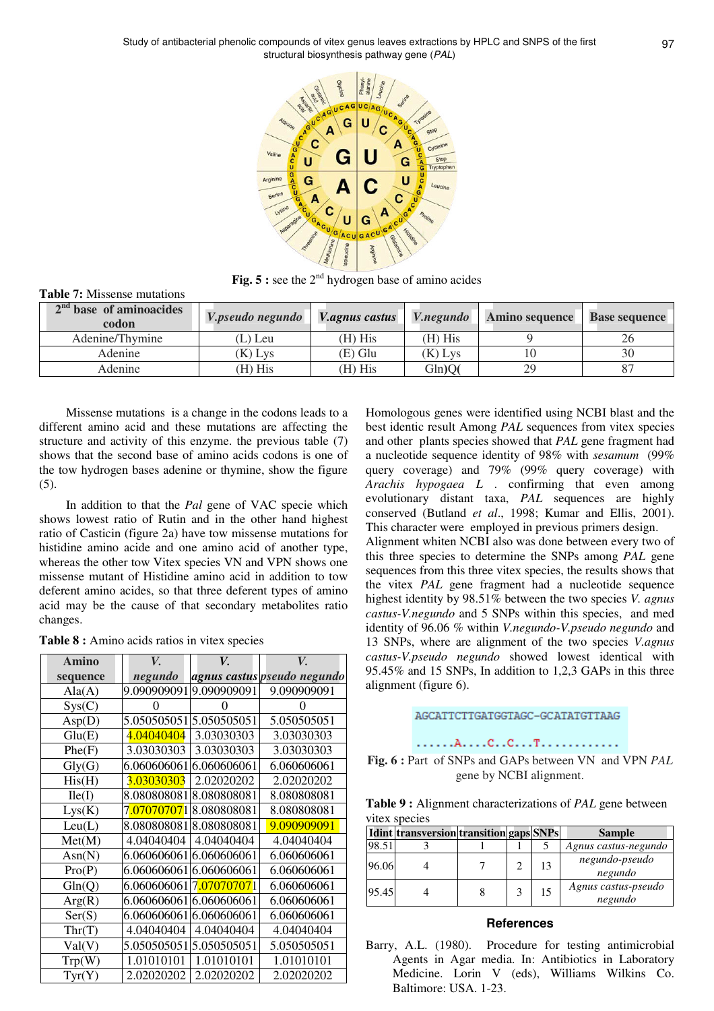

Fig. 5 : see the 2<sup>nd</sup> hydrogen base of amino acides

| <b>Table 7:</b> Missense mutations |                  |                |                         |                       |                      |
|------------------------------------|------------------|----------------|-------------------------|-----------------------|----------------------|
| $2nd$ base of aminoacides<br>codon | V.pseudo negundo | V.agnus castus | <i><b>V.negundo</b></i> | <b>Amino sequence</b> | <b>Base sequence</b> |
| Adenine/Thymine                    | (L) Leu          | (H) His        | (H) His                 |                       | 26                   |
| Adenine                            | (K) Lys          | (E) Glu        | $(K)$ Lys               |                       | 30                   |
| Adenine                            | (H) His          | $(H)$ His      | Gln)O(                  | 29                    |                      |

Missense mutations is a change in the codons leads to a different amino acid and these mutations are affecting the structure and activity of this enzyme. the previous table (7) shows that the second base of amino acids codons is one of the tow hydrogen bases adenine or thymine, show the figure (5).

In addition to that the *Pal* gene of VAC specie which shows lowest ratio of Rutin and in the other hand highest ratio of Casticin (figure 2a) have tow missense mutations for histidine amino acide and one amino acid of another type, whereas the other tow Vitex species VN and VPN shows one missense mutant of Histidine amino acid in addition to tow deferent amino acides, so that three deferent types of amino acid may be the cause of that secondary metabolites ratio changes.

|  |  |  |  |  |  |  | <b>Table 8 :</b> Amino acids ratios in vitex species |
|--|--|--|--|--|--|--|------------------------------------------------------|
|--|--|--|--|--|--|--|------------------------------------------------------|

| Amino          | V.          | V.                                     | V.                          |
|----------------|-------------|----------------------------------------|-----------------------------|
| sequence       | negundo     |                                        | agnus castus pseudo negundo |
| $text{Ala}(A)$ | 9.090909091 | 9.090909091                            | 9.090909091                 |
| Sys(C)         | 0           |                                        |                             |
| Asp(D)         | 5.050505051 | 5.050505051                            | 5.050505051                 |
| Glu(E)         | 4.04040404  | 3.03030303                             | 3.03030303                  |
| Phe(F)         | 3.03030303  | 3.03030303                             | 3.03030303                  |
| Gly(G)         | 6.060606061 | 6.060606061                            | 6.060606061                 |
| His(H)         | 3.03030303  | 2.02020202                             | 2.02020202                  |
| Ile(I)         | 8.080808081 | 8.080808081                            | 8.080808081                 |
| Lys(K)         |             | 7 <mark>.07070707</mark> 1 8.080808081 | 8.080808081                 |
| Leu(L)         | 8.080808081 | 8.080808081                            | 9.090909091                 |
| Met(M)         | 4.04040404  | 4.04040404                             | 4.04040404                  |
| Asn(N)         |             | 6.060606061 6.060606061                | 6.060606061                 |
| Pro(P)         |             | 6.060606061 6.060606061                | 6.060606061                 |
| Gln(Q)         | 6.060606061 | 7.070707071                            | 6.060606061                 |
| Arg(R)         | 6.060606061 | 6.060606061                            | 6.060606061                 |
| Ser(S)         |             | 6.060606061 6.060606061                | 6.060606061                 |
| Thr(T)         | 4.04040404  | 4.04040404                             | 4.04040404                  |
| Val(V)         |             | 5.050505051 5.050505051                | 5.050505051                 |
| Trp(W)         | 1.01010101  | 1.01010101                             | 1.01010101                  |
| Tyr(Y)         | 2.02020202  | 2.02020202                             | 2.02020202                  |

Homologous genes were identified using NCBI blast and the best identic result Among *PAL* sequences from vitex species and other plants species showed that *PAL* gene fragment had a nucleotide sequence identity of 98% with *sesamum* (99% query coverage) and 79% (99% query coverage) with *Arachis hypogaea L* . confirming that even among evolutionary distant taxa, *PAL* sequences are highly conserved (Butland *et al*., 1998; Kumar and Ellis, 2001). This character were employed in previous primers design.

Alignment whiten NCBI also was done between every two of this three species to determine the SNPs among *PAL* gene sequences from this three vitex species, the results shows that the vitex *PAL* gene fragment had a nucleotide sequence highest identity by 98.51% between the two species *V. agnus castus-V.negundo* and 5 SNPs within this species, and med identity of 96.06 % within *V.negundo-V.pseudo negundo* and 13 SNPs, where are alignment of the two species *V.agnus castus-V.pseudo negundo* showed lowest identical with 95.45% and 15 SNPs, In addition to 1,2,3 GAPs in this three alignment (figure 6).

# AGCATTCTTGATGGTAGC-GCATATGTTAAG

#### 

**Fig. 6 :** Part of SNPs and GAPs between VN and VPN *PAL* gene by NCBI alignment.

**Table 9 :** Alignment characterizations of *PAL* gene between vitex species

|       | Idint transversion transition gaps SNPs |  |    | <b>Sample</b>                  |
|-------|-----------------------------------------|--|----|--------------------------------|
| 98.51 |                                         |  |    | Agnus castus-negundo           |
| 96.06 |                                         |  | 13 | negundo-pseudo<br>negundo      |
| 95.45 |                                         |  | 15 | Agnus castus-pseudo<br>negundo |

#### **References**

Barry, A.L. (1980). Procedure for testing antimicrobial Agents in Agar media. In: Antibiotics in Laboratory Medicine. Lorin V (eds), Williams Wilkins Co. Baltimore: USA. 1-23.